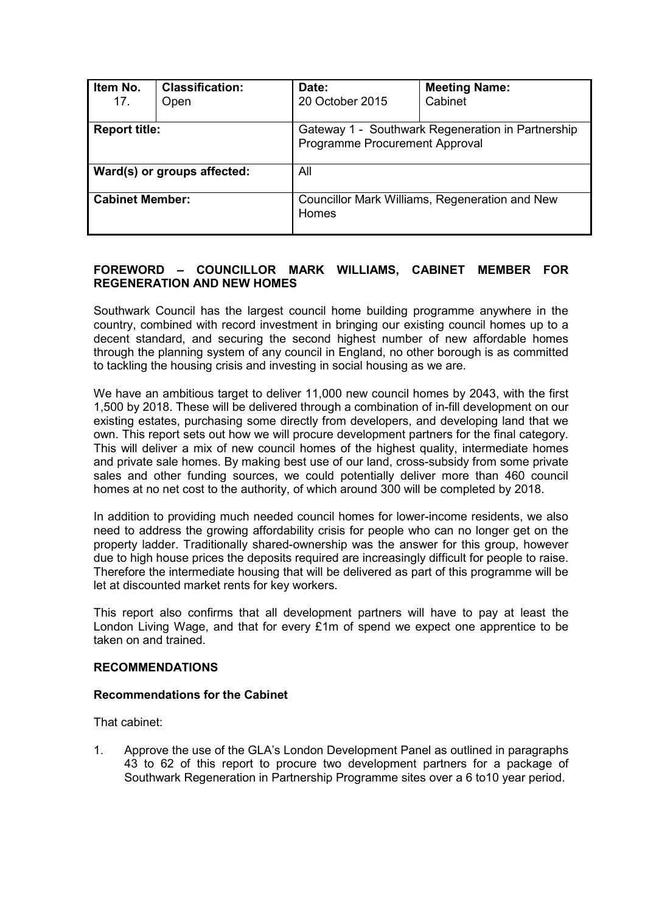| Item No.<br>17.             | <b>Classification:</b><br>Open | Date:<br>20 October 2015                                                            | <b>Meeting Name:</b><br>Cabinet |  |
|-----------------------------|--------------------------------|-------------------------------------------------------------------------------------|---------------------------------|--|
| <b>Report title:</b>        |                                | Gateway 1 - Southwark Regeneration in Partnership<br>Programme Procurement Approval |                                 |  |
| Ward(s) or groups affected: |                                | All                                                                                 |                                 |  |
| <b>Cabinet Member:</b>      |                                | Councillor Mark Williams, Regeneration and New<br>Homes                             |                                 |  |

## **FOREWORD – COUNCILLOR MARK WILLIAMS, CABINET MEMBER FOR REGENERATION AND NEW HOMES**

Southwark Council has the largest council home building programme anywhere in the country, combined with record investment in bringing our existing council homes up to a decent standard, and securing the second highest number of new affordable homes through the planning system of any council in England, no other borough is as committed to tackling the housing crisis and investing in social housing as we are.

We have an ambitious target to deliver 11,000 new council homes by 2043, with the first 1,500 by 2018. These will be delivered through a combination of in-fill development on our existing estates, purchasing some directly from developers, and developing land that we own. This report sets out how we will procure development partners for the final category. This will deliver a mix of new council homes of the highest quality, intermediate homes and private sale homes. By making best use of our land, cross-subsidy from some private sales and other funding sources, we could potentially deliver more than 460 council homes at no net cost to the authority, of which around 300 will be completed by 2018.

In addition to providing much needed council homes for lower-income residents, we also need to address the growing affordability crisis for people who can no longer get on the property ladder. Traditionally shared-ownership was the answer for this group, however due to high house prices the deposits required are increasingly difficult for people to raise. Therefore the intermediate housing that will be delivered as part of this programme will be let at discounted market rents for key workers.

This report also confirms that all development partners will have to pay at least the London Living Wage, and that for every £1m of spend we expect one apprentice to be taken on and trained.

#### **RECOMMENDATIONS**

### **Recommendations for the Cabinet**

That cabinet:

1. Approve the use of the GLA's London Development Panel as outlined in paragraphs 43 to 62 of this report to procure two development partners for a package of Southwark Regeneration in Partnership Programme sites over a 6 to10 year period.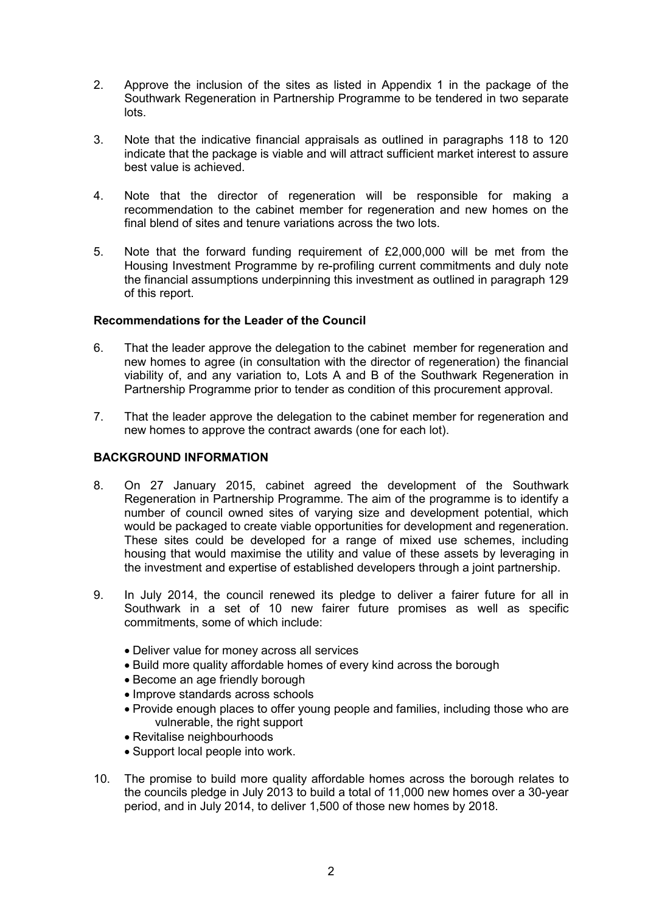- 2. Approve the inclusion of the sites as listed in Appendix 1 in the package of the Southwark Regeneration in Partnership Programme to be tendered in two separate lots.
- 3. Note that the indicative financial appraisals as outlined in paragraphs 118 to 120 indicate that the package is viable and will attract sufficient market interest to assure best value is achieved.
- 4. Note that the director of regeneration will be responsible for making a recommendation to the cabinet member for regeneration and new homes on the final blend of sites and tenure variations across the two lots.
- 5. Note that the forward funding requirement of £2,000,000 will be met from the Housing Investment Programme by re-profiling current commitments and duly note the financial assumptions underpinning this investment as outlined in paragraph 129 of this report.

## **Recommendations for the Leader of the Council**

- 6. That the leader approve the delegation to the cabinet member for regeneration and new homes to agree (in consultation with the director of regeneration) the financial viability of, and any variation to, Lots A and B of the Southwark Regeneration in Partnership Programme prior to tender as condition of this procurement approval.
- 7. That the leader approve the delegation to the cabinet member for regeneration and new homes to approve the contract awards (one for each lot).

## **BACKGROUND INFORMATION**

- 8. On 27 January 2015, cabinet agreed the development of the Southwark Regeneration in Partnership Programme. The aim of the programme is to identify a number of council owned sites of varying size and development potential, which would be packaged to create viable opportunities for development and regeneration. These sites could be developed for a range of mixed use schemes, including housing that would maximise the utility and value of these assets by leveraging in the investment and expertise of established developers through a joint partnership.
- 9. In July 2014, the council renewed its pledge to deliver a fairer future for all in Southwark in a set of 10 new fairer future promises as well as specific commitments, some of which include:
	- Deliver value for money across all services
	- Build more quality affordable homes of every kind across the borough
	- Become an age friendly borough
	- Improve standards across schools
	- Provide enough places to offer young people and families, including those who are vulnerable, the right support
	- Revitalise neighbourhoods
	- Support local people into work.
- 10. The promise to build more quality affordable homes across the borough relates to the councils pledge in July 2013 to build a total of 11,000 new homes over a 30-year period, and in July 2014, to deliver 1,500 of those new homes by 2018.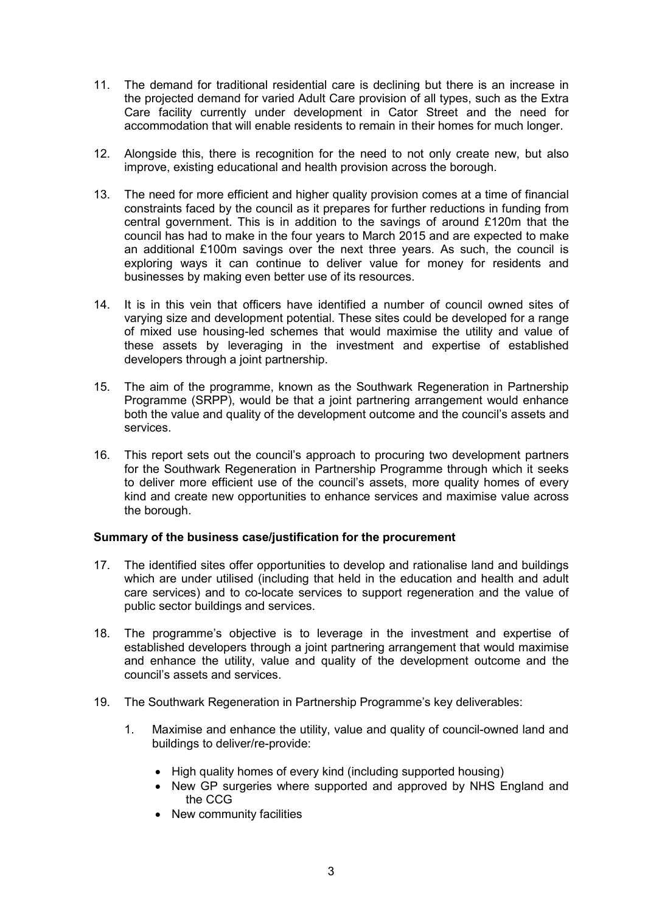- 11. The demand for traditional residential care is declining but there is an increase in the projected demand for varied Adult Care provision of all types, such as the Extra Care facility currently under development in Cator Street and the need for accommodation that will enable residents to remain in their homes for much longer.
- 12. Alongside this, there is recognition for the need to not only create new, but also improve, existing educational and health provision across the borough.
- 13. The need for more efficient and higher quality provision comes at a time of financial constraints faced by the council as it prepares for further reductions in funding from central government. This is in addition to the savings of around £120m that the council has had to make in the four years to March 2015 and are expected to make an additional £100m savings over the next three years. As such, the council is exploring ways it can continue to deliver value for money for residents and businesses by making even better use of its resources.
- 14. It is in this vein that officers have identified a number of council owned sites of varying size and development potential. These sites could be developed for a range of mixed use housing-led schemes that would maximise the utility and value of these assets by leveraging in the investment and expertise of established developers through a joint partnership.
- 15. The aim of the programme, known as the Southwark Regeneration in Partnership Programme (SRPP), would be that a joint partnering arrangement would enhance both the value and quality of the development outcome and the council's assets and services.
- 16. This report sets out the council's approach to procuring two development partners for the Southwark Regeneration in Partnership Programme through which it seeks to deliver more efficient use of the council's assets, more quality homes of every kind and create new opportunities to enhance services and maximise value across the borough.

## **Summary of the business case/justification for the procurement**

- 17. The identified sites offer opportunities to develop and rationalise land and buildings which are under utilised (including that held in the education and health and adult care services) and to co-locate services to support regeneration and the value of public sector buildings and services.
- 18. The programme's objective is to leverage in the investment and expertise of established developers through a joint partnering arrangement that would maximise and enhance the utility, value and quality of the development outcome and the council's assets and services.
- 19. The Southwark Regeneration in Partnership Programme's key deliverables:
	- 1. Maximise and enhance the utility, value and quality of council-owned land and buildings to deliver/re-provide:
		- High quality homes of every kind (including supported housing)
		- New GP surgeries where supported and approved by NHS England and the CCG
		- New community facilities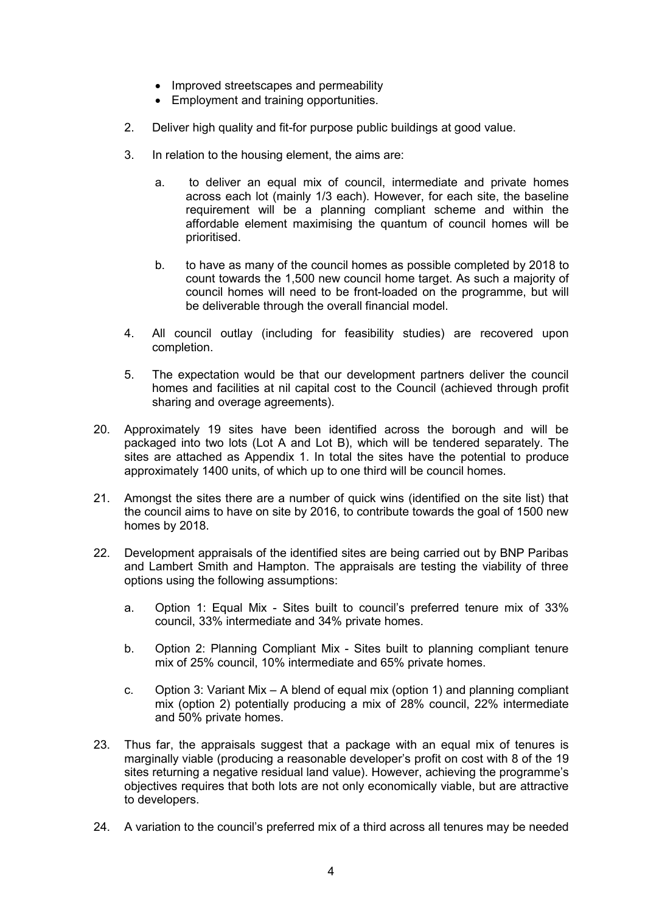- Improved streetscapes and permeability
- Employment and training opportunities.
- 2. Deliver high quality and fit-for purpose public buildings at good value.
- 3. In relation to the housing element, the aims are:
	- a. to deliver an equal mix of council, intermediate and private homes across each lot (mainly 1/3 each). However, for each site, the baseline requirement will be a planning compliant scheme and within the affordable element maximising the quantum of council homes will be prioritised.
	- b. to have as many of the council homes as possible completed by 2018 to count towards the 1,500 new council home target. As such a majority of council homes will need to be front-loaded on the programme, but will be deliverable through the overall financial model.
- 4. All council outlay (including for feasibility studies) are recovered upon completion.
- 5. The expectation would be that our development partners deliver the council homes and facilities at nil capital cost to the Council (achieved through profit sharing and overage agreements).
- 20. Approximately 19 sites have been identified across the borough and will be packaged into two lots (Lot A and Lot B), which will be tendered separately. The sites are attached as Appendix 1. In total the sites have the potential to produce approximately 1400 units, of which up to one third will be council homes.
- 21. Amongst the sites there are a number of quick wins (identified on the site list) that the council aims to have on site by 2016, to contribute towards the goal of 1500 new homes by 2018.
- 22. Development appraisals of the identified sites are being carried out by BNP Paribas and Lambert Smith and Hampton. The appraisals are testing the viability of three options using the following assumptions:
	- a. Option 1: Equal Mix Sites built to council's preferred tenure mix of 33% council, 33% intermediate and 34% private homes.
	- b. Option 2: Planning Compliant Mix Sites built to planning compliant tenure mix of 25% council, 10% intermediate and 65% private homes.
	- c. Option 3: Variant Mix A blend of equal mix (option 1) and planning compliant mix (option 2) potentially producing a mix of 28% council, 22% intermediate and 50% private homes.
- 23. Thus far, the appraisals suggest that a package with an equal mix of tenures is marginally viable (producing a reasonable developer's profit on cost with 8 of the 19 sites returning a negative residual land value). However, achieving the programme's objectives requires that both lots are not only economically viable, but are attractive to developers.
- 24. A variation to the council's preferred mix of a third across all tenures may be needed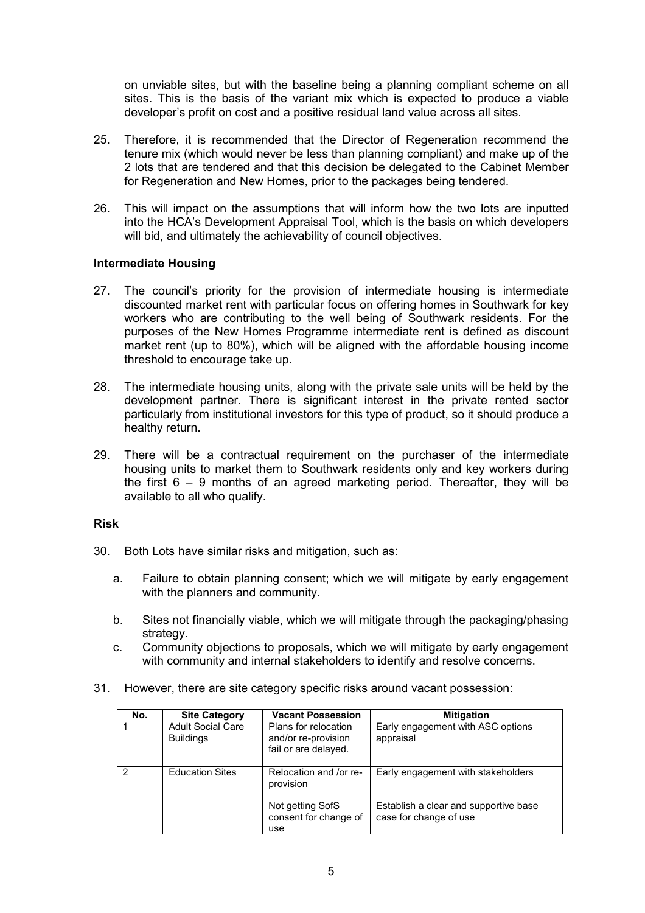on unviable sites, but with the baseline being a planning compliant scheme on all sites. This is the basis of the variant mix which is expected to produce a viable developer's profit on cost and a positive residual land value across all sites.

- 25. Therefore, it is recommended that the Director of Regeneration recommend the tenure mix (which would never be less than planning compliant) and make up of the 2 lots that are tendered and that this decision be delegated to the Cabinet Member for Regeneration and New Homes, prior to the packages being tendered.
- 26. This will impact on the assumptions that will inform how the two lots are inputted into the HCA's Development Appraisal Tool, which is the basis on which developers will bid, and ultimately the achievability of council objectives.

## **Intermediate Housing**

- 27. The council's priority for the provision of intermediate housing is intermediate discounted market rent with particular focus on offering homes in Southwark for key workers who are contributing to the well being of Southwark residents. For the purposes of the New Homes Programme intermediate rent is defined as discount market rent (up to 80%), which will be aligned with the affordable housing income threshold to encourage take up.
- 28. The intermediate housing units, along with the private sale units will be held by the development partner. There is significant interest in the private rented sector particularly from institutional investors for this type of product, so it should produce a healthy return.
- 29. There will be a contractual requirement on the purchaser of the intermediate housing units to market them to Southwark residents only and key workers during the first 6 – 9 months of an agreed marketing period. Thereafter, they will be available to all who qualify.

## **Risk**

- 30. Both Lots have similar risks and mitigation, such as:
	- a. Failure to obtain planning consent; which we will mitigate by early engagement with the planners and community.
	- b. Sites not financially viable, which we will mitigate through the packaging/phasing strategy.
	- c. Community objections to proposals, which we will mitigate by early engagement with community and internal stakeholders to identify and resolve concerns.
- 31. However, there are site category specific risks around vacant possession:

| No. | <b>Site Category</b>                         | <b>Vacant Possession</b>                                            | <b>Mitigation</b>                                               |
|-----|----------------------------------------------|---------------------------------------------------------------------|-----------------------------------------------------------------|
|     | <b>Adult Social Care</b><br><b>Buildings</b> | Plans for relocation<br>and/or re-provision<br>fail or are delayed. | Early engagement with ASC options<br>appraisal                  |
| っ   | <b>Education Sites</b>                       | Relocation and /or re-<br>provision                                 | Early engagement with stakeholders                              |
|     |                                              | Not getting SofS<br>consent for change of<br>use                    | Establish a clear and supportive base<br>case for change of use |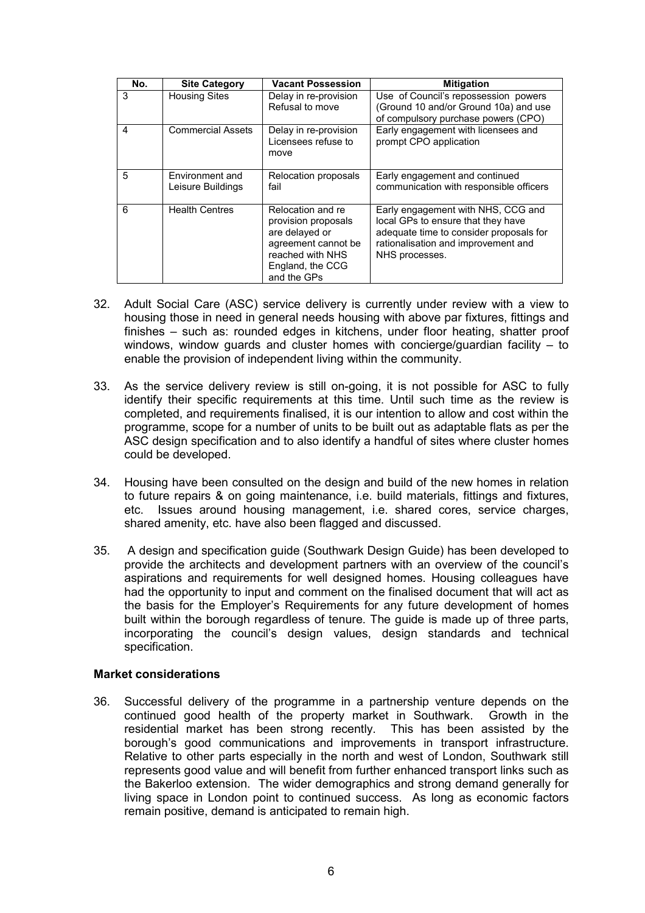| No.            | <b>Site Category</b>                 | <b>Vacant Possession</b>                                                                                                                 | <b>Mitigation</b>                                                                                                                                                            |
|----------------|--------------------------------------|------------------------------------------------------------------------------------------------------------------------------------------|------------------------------------------------------------------------------------------------------------------------------------------------------------------------------|
| 3              | <b>Housing Sites</b>                 | Delay in re-provision<br>Refusal to move                                                                                                 | Use of Council's repossession powers<br>(Ground 10 and/or Ground 10a) and use<br>of compulsory purchase powers (CPO)                                                         |
| $\overline{4}$ | <b>Commercial Assets</b>             | Delay in re-provision<br>Licensees refuse to<br>move                                                                                     | Early engagement with licensees and<br>prompt CPO application                                                                                                                |
| 5              | Environment and<br>Leisure Buildings | Relocation proposals<br>fail                                                                                                             | Early engagement and continued<br>communication with responsible officers                                                                                                    |
| 6              | <b>Health Centres</b>                | Relocation and re<br>provision proposals<br>are delayed or<br>agreement cannot be<br>reached with NHS<br>England, the CCG<br>and the GPs | Early engagement with NHS, CCG and<br>local GPs to ensure that they have<br>adequate time to consider proposals for<br>rationalisation and improvement and<br>NHS processes. |

- 32. Adult Social Care (ASC) service delivery is currently under review with a view to housing those in need in general needs housing with above par fixtures, fittings and finishes – such as: rounded edges in kitchens, under floor heating, shatter proof windows, window guards and cluster homes with concierge/guardian facility – to enable the provision of independent living within the community.
- 33. As the service delivery review is still on-going, it is not possible for ASC to fully identify their specific requirements at this time. Until such time as the review is completed, and requirements finalised, it is our intention to allow and cost within the programme, scope for a number of units to be built out as adaptable flats as per the ASC design specification and to also identify a handful of sites where cluster homes could be developed.
- 34. Housing have been consulted on the design and build of the new homes in relation to future repairs & on going maintenance, i.e. build materials, fittings and fixtures, etc. Issues around housing management, i.e. shared cores, service charges, shared amenity, etc. have also been flagged and discussed.
- 35. A design and specification guide (Southwark Design Guide) has been developed to provide the architects and development partners with an overview of the council's aspirations and requirements for well designed homes. Housing colleagues have had the opportunity to input and comment on the finalised document that will act as the basis for the Employer's Requirements for any future development of homes built within the borough regardless of tenure. The guide is made up of three parts, incorporating the council's design values, design standards and technical specification.

#### **Market considerations**

36. Successful delivery of the programme in a partnership venture depends on the continued good health of the property market in Southwark. Growth in the residential market has been strong recently. This has been assisted by the borough's good communications and improvements in transport infrastructure. Relative to other parts especially in the north and west of London, Southwark still represents good value and will benefit from further enhanced transport links such as the Bakerloo extension. The wider demographics and strong demand generally for living space in London point to continued success. As long as economic factors remain positive, demand is anticipated to remain high.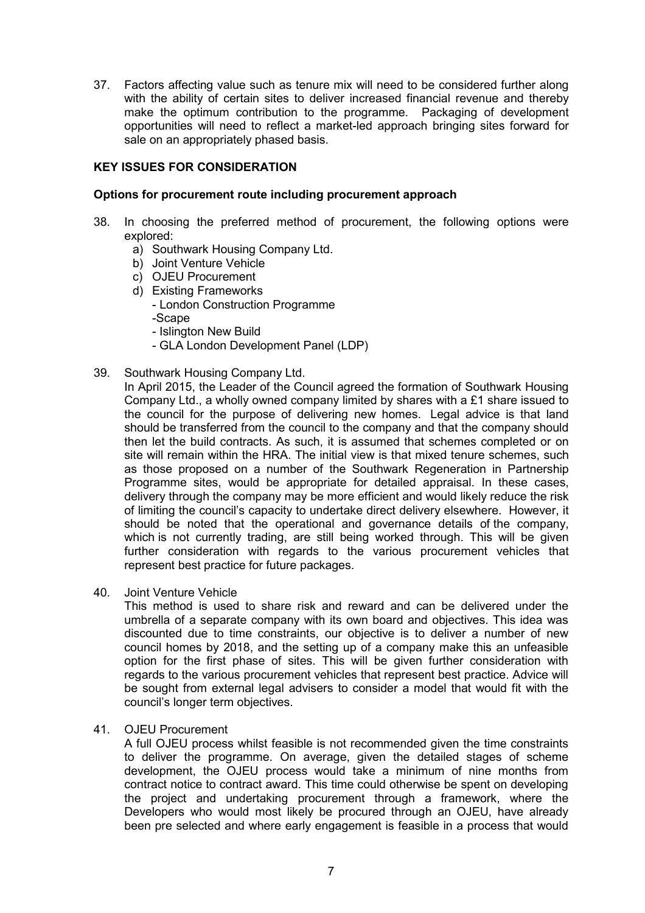37. Factors affecting value such as tenure mix will need to be considered further along with the ability of certain sites to deliver increased financial revenue and thereby make the optimum contribution to the programme. Packaging of development opportunities will need to reflect a market-led approach bringing sites forward for sale on an appropriately phased basis.

## **KEY ISSUES FOR CONSIDERATION**

### **Options for procurement route including procurement approach**

- 38. In choosing the preferred method of procurement, the following options were explored:
	- a) Southwark Housing Company Ltd.
	- b) Joint Venture Vehicle
	- c) OJEU Procurement
	- d) Existing Frameworks
		- London Construction Programme
		- -Scape
		- Islington New Build
		- GLA London Development Panel (LDP)
- 39. Southwark Housing Company Ltd.

In April 2015, the Leader of the Council agreed the formation of Southwark Housing Company Ltd., a wholly owned company limited by shares with a £1 share issued to the council for the purpose of delivering new homes. Legal advice is that land should be transferred from the council to the company and that the company should then let the build contracts. As such, it is assumed that schemes completed or on site will remain within the HRA. The initial view is that mixed tenure schemes, such as those proposed on a number of the Southwark Regeneration in Partnership Programme sites, would be appropriate for detailed appraisal. In these cases, delivery through the company may be more efficient and would likely reduce the risk of limiting the council's capacity to undertake direct delivery elsewhere. However, it should be noted that the operational and governance details of the company, which is not currently trading, are still being worked through. This will be given further consideration with regards to the various procurement vehicles that represent best practice for future packages.

40. Joint Venture Vehicle

This method is used to share risk and reward and can be delivered under the umbrella of a separate company with its own board and objectives. This idea was discounted due to time constraints, our objective is to deliver a number of new council homes by 2018, and the setting up of a company make this an unfeasible option for the first phase of sites. This will be given further consideration with regards to the various procurement vehicles that represent best practice. Advice will be sought from external legal advisers to consider a model that would fit with the council's longer term objectives.

41. OJEU Procurement

A full OJEU process whilst feasible is not recommended given the time constraints to deliver the programme. On average, given the detailed stages of scheme development, the OJEU process would take a minimum of nine months from contract notice to contract award. This time could otherwise be spent on developing the project and undertaking procurement through a framework, where the Developers who would most likely be procured through an OJEU, have already been pre selected and where early engagement is feasible in a process that would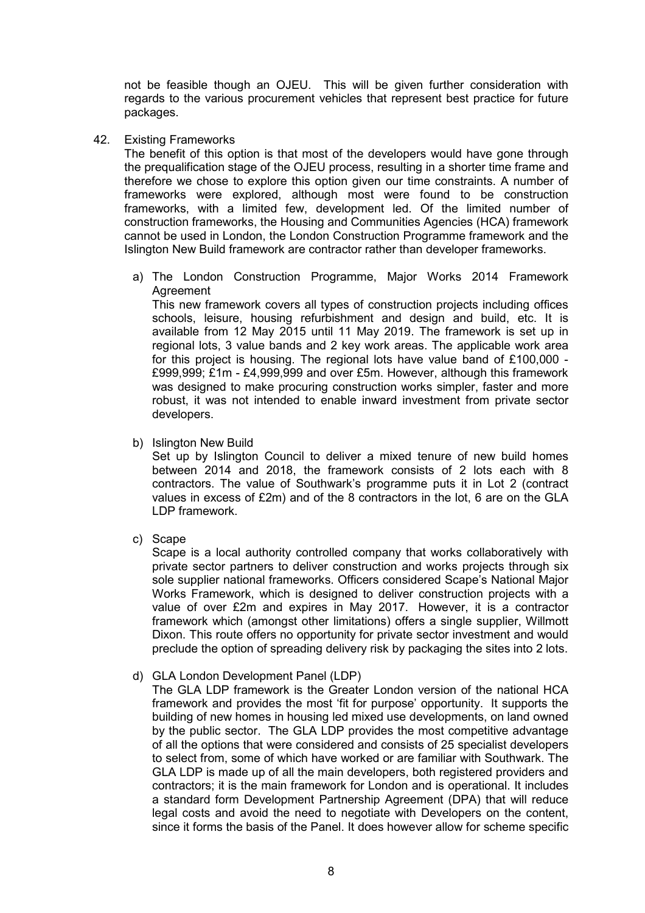not be feasible though an OJEU. This will be given further consideration with regards to the various procurement vehicles that represent best practice for future packages.

42. Existing Frameworks

The benefit of this option is that most of the developers would have gone through the prequalification stage of the OJEU process, resulting in a shorter time frame and therefore we chose to explore this option given our time constraints. A number of frameworks were explored, although most were found to be construction frameworks, with a limited few, development led. Of the limited number of construction frameworks, the Housing and Communities Agencies (HCA) framework cannot be used in London, the London Construction Programme framework and the Islington New Build framework are contractor rather than developer frameworks.

a) The London Construction Programme, Major Works 2014 Framework Agreement

This new framework covers all types of construction projects including offices schools, leisure, housing refurbishment and design and build, etc. It is available from 12 May 2015 until 11 May 2019. The framework is set up in regional lots, 3 value bands and 2 key work areas. The applicable work area for this project is housing. The regional lots have value band of £100,000 - £999,999; £1m - £4,999,999 and over £5m. However, although this framework was designed to make procuring construction works simpler, faster and more robust, it was not intended to enable inward investment from private sector developers.

b) Islington New Build

Set up by Islington Council to deliver a mixed tenure of new build homes between 2014 and 2018, the framework consists of 2 lots each with 8 contractors. The value of Southwark's programme puts it in Lot 2 (contract values in excess of £2m) and of the 8 contractors in the lot, 6 are on the GLA LDP framework.

c) Scape

Scape is a local authority controlled company that works collaboratively with private sector partners to deliver construction and works projects through six sole supplier national frameworks. Officers considered Scape's National Major Works Framework, which is designed to deliver construction projects with a value of over £2m and expires in May 2017. However, it is a contractor framework which (amongst other limitations) offers a single supplier, Willmott Dixon. This route offers no opportunity for private sector investment and would preclude the option of spreading delivery risk by packaging the sites into 2 lots.

d) GLA London Development Panel (LDP)

The GLA LDP framework is the Greater London version of the national HCA framework and provides the most 'fit for purpose' opportunity. It supports the building of new homes in housing led mixed use developments, on land owned by the public sector. The GLA LDP provides the most competitive advantage of all the options that were considered and consists of 25 specialist developers to select from, some of which have worked or are familiar with Southwark. The GLA LDP is made up of all the main developers, both registered providers and contractors; it is the main framework for London and is operational. It includes a standard form Development Partnership Agreement (DPA) that will reduce legal costs and avoid the need to negotiate with Developers on the content, since it forms the basis of the Panel. It does however allow for scheme specific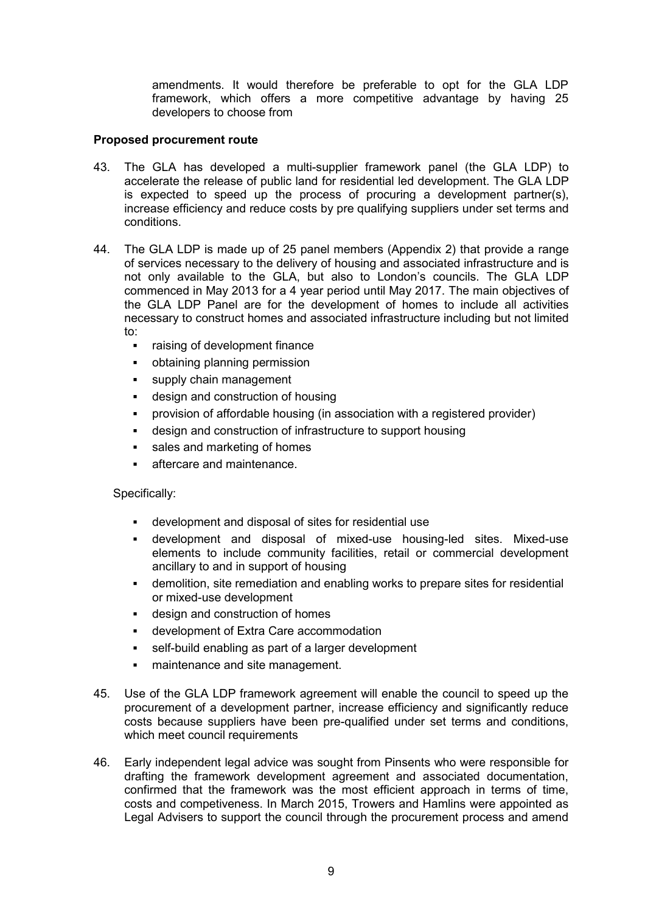amendments. It would therefore be preferable to opt for the GLA LDP framework, which offers a more competitive advantage by having 25 developers to choose from

## **Proposed procurement route**

- 43. The GLA has developed a multi-supplier framework panel (the GLA LDP) to accelerate the release of public land for residential led development. The GLA LDP is expected to speed up the process of procuring a development partner(s), increase efficiency and reduce costs by pre qualifying suppliers under set terms and conditions.
- 44. The GLA LDP is made up of 25 panel members (Appendix 2) that provide a range of services necessary to the delivery of housing and associated infrastructure and is not only available to the GLA, but also to London's councils. The GLA LDP commenced in May 2013 for a 4 year period until May 2017. The main objectives of the GLA LDP Panel are for the development of homes to include all activities necessary to construct homes and associated infrastructure including but not limited to:
	- raising of development finance
	- obtaining planning permission
	- supply chain management
	- design and construction of housing
	- provision of affordable housing (in association with a registered provider)
	- design and construction of infrastructure to support housing
	- sales and marketing of homes
	- aftercare and maintenance.

## Specifically:

- § development and disposal of sites for residential use
- § development and disposal of mixed-use housing-led sites. Mixed-use elements to include community facilities, retail or commercial development ancillary to and in support of housing
- § demolition, site remediation and enabling works to prepare sites for residential or mixed-use development
- design and construction of homes
- § development of Extra Care accommodation
- self-build enabling as part of a larger development
- maintenance and site management.
- 45. Use of the GLA LDP framework agreement will enable the council to speed up the procurement of a development partner, increase efficiency and significantly reduce costs because suppliers have been pre-qualified under set terms and conditions, which meet council requirements
- 46. Early independent legal advice was sought from Pinsents who were responsible for drafting the framework development agreement and associated documentation, confirmed that the framework was the most efficient approach in terms of time, costs and competiveness. In March 2015, Trowers and Hamlins were appointed as Legal Advisers to support the council through the procurement process and amend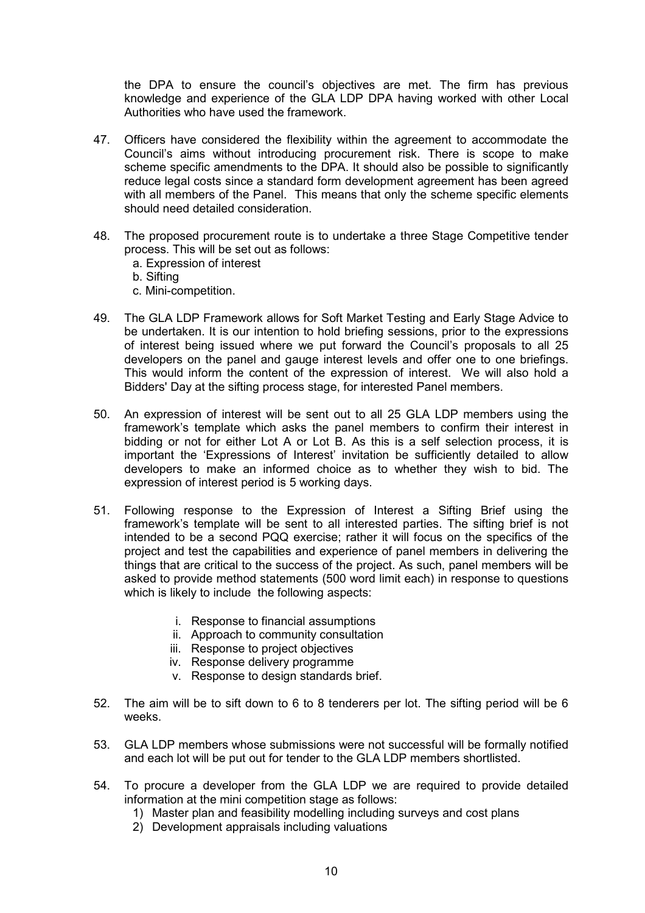the DPA to ensure the council's objectives are met. The firm has previous knowledge and experience of the GLA LDP DPA having worked with other Local Authorities who have used the framework.

- 47. Officers have considered the flexibility within the agreement to accommodate the Council's aims without introducing procurement risk. There is scope to make scheme specific amendments to the DPA. It should also be possible to significantly reduce legal costs since a standard form development agreement has been agreed with all members of the Panel. This means that only the scheme specific elements should need detailed consideration.
- 48. The proposed procurement route is to undertake a three Stage Competitive tender process. This will be set out as follows:
	- a. Expression of interest
	- b. Sifting
	- c. Mini-competition.
- 49. The GLA LDP Framework allows for Soft Market Testing and Early Stage Advice to be undertaken. It is our intention to hold briefing sessions, prior to the expressions of interest being issued where we put forward the Council's proposals to all 25 developers on the panel and gauge interest levels and offer one to one briefings. This would inform the content of the expression of interest. We will also hold a Bidders' Day at the sifting process stage, for interested Panel members.
- 50. An expression of interest will be sent out to all 25 GLA LDP members using the framework's template which asks the panel members to confirm their interest in bidding or not for either Lot A or Lot B. As this is a self selection process, it is important the 'Expressions of Interest' invitation be sufficiently detailed to allow developers to make an informed choice as to whether they wish to bid. The expression of interest period is 5 working days.
- 51. Following response to the Expression of Interest a Sifting Brief using the framework's template will be sent to all interested parties. The sifting brief is not intended to be a second PQQ exercise; rather it will focus on the specifics of the project and test the capabilities and experience of panel members in delivering the things that are critical to the success of the project. As such, panel members will be asked to provide method statements (500 word limit each) in response to questions which is likely to include the following aspects:
	- i. Response to financial assumptions
	- ii. Approach to community consultation
	- iii. Response to project objectives
	- iv. Response delivery programme
	- v. Response to design standards brief.
- 52. The aim will be to sift down to 6 to 8 tenderers per lot. The sifting period will be 6 weeks.
- 53. GLA LDP members whose submissions were not successful will be formally notified and each lot will be put out for tender to the GLA LDP members shortlisted.
- 54. To procure a developer from the GLA LDP we are required to provide detailed information at the mini competition stage as follows:
	- 1) Master plan and feasibility modelling including surveys and cost plans
	- 2) Development appraisals including valuations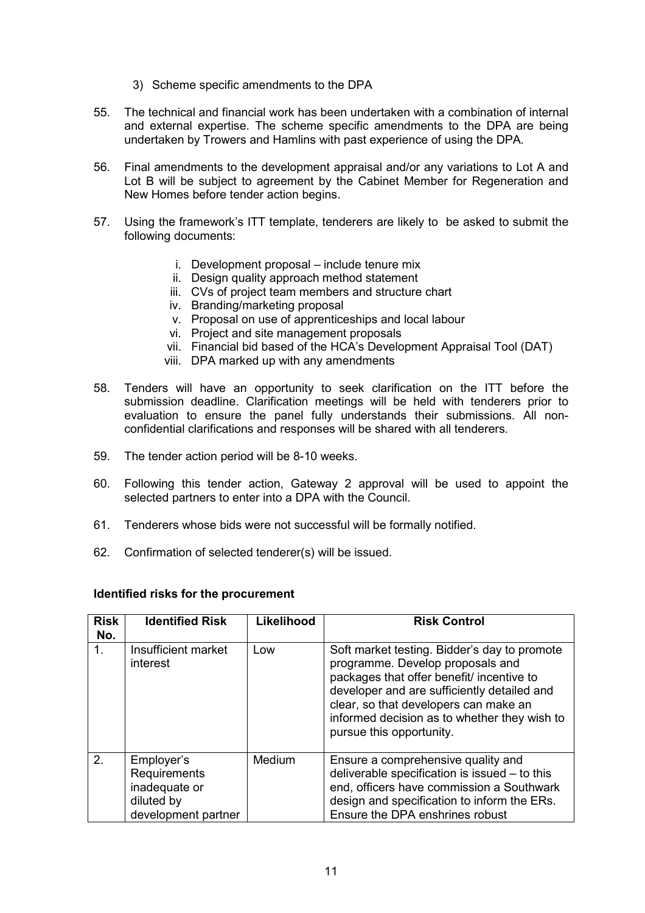- 3) Scheme specific amendments to the DPA
- 55. The technical and financial work has been undertaken with a combination of internal and external expertise. The scheme specific amendments to the DPA are being undertaken by Trowers and Hamlins with past experience of using the DPA.
- 56. Final amendments to the development appraisal and/or any variations to Lot A and Lot B will be subject to agreement by the Cabinet Member for Regeneration and New Homes before tender action begins.
- 57. Using the framework's ITT template, tenderers are likely to be asked to submit the following documents:
	- i. Development proposal include tenure mix
	- ii. Design quality approach method statement
	- iii. CVs of project team members and structure chart
	- iv. Branding/marketing proposal
	- v. Proposal on use of apprenticeships and local labour
	- vi. Project and site management proposals
	- vii. Financial bid based of the HCA's Development Appraisal Tool (DAT)
	- viii. DPA marked up with any amendments
- 58. Tenders will have an opportunity to seek clarification on the ITT before the submission deadline. Clarification meetings will be held with tenderers prior to evaluation to ensure the panel fully understands their submissions. All nonconfidential clarifications and responses will be shared with all tenderers.
- 59. The tender action period will be 8-10 weeks.
- 60. Following this tender action, Gateway 2 approval will be used to appoint the selected partners to enter into a DPA with the Council.
- 61. Tenderers whose bids were not successful will be formally notified.
- 62. Confirmation of selected tenderer(s) will be issued.

| <b>Risk</b><br>No. | <b>Identified Risk</b>                                                           | Likelihood | <b>Risk Control</b>                                                                                                                                                                                                                                                                               |
|--------------------|----------------------------------------------------------------------------------|------------|---------------------------------------------------------------------------------------------------------------------------------------------------------------------------------------------------------------------------------------------------------------------------------------------------|
| 1.                 | Insufficient market<br>interest                                                  | Low        | Soft market testing. Bidder's day to promote<br>programme. Develop proposals and<br>packages that offer benefit/ incentive to<br>developer and are sufficiently detailed and<br>clear, so that developers can make an<br>informed decision as to whether they wish to<br>pursue this opportunity. |
| 2.                 | Employer's<br>Requirements<br>inadequate or<br>diluted by<br>development partner | Medium     | Ensure a comprehensive quality and<br>deliverable specification is issued $-$ to this<br>end, officers have commission a Southwark<br>design and specification to inform the ERs.<br>Ensure the DPA enshrines robust                                                                              |

#### **Identified risks for the procurement**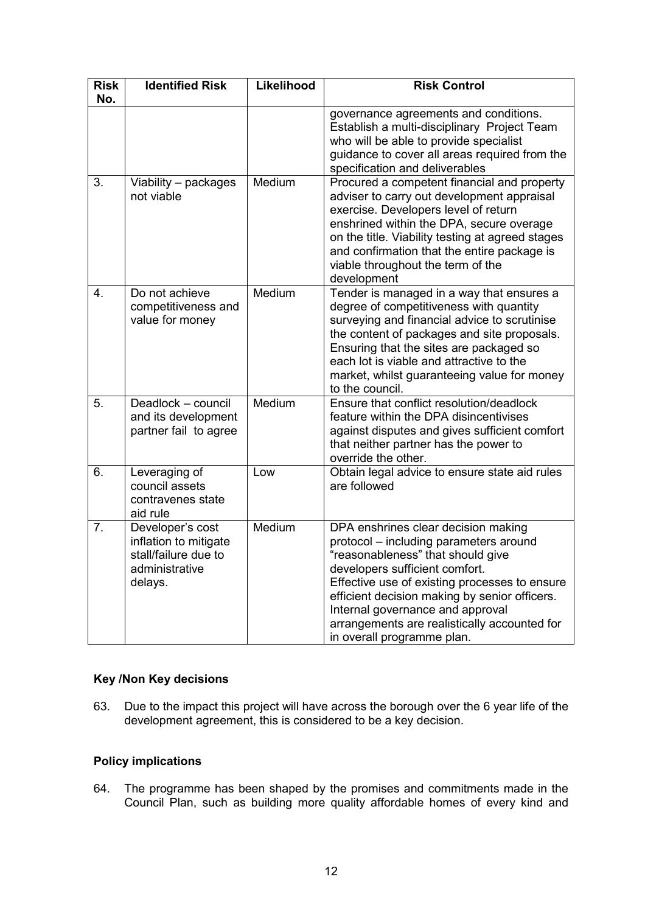| <b>Risk</b><br>No. | <b>Identified Risk</b>                                                                         | Likelihood | <b>Risk Control</b>                                                                                                                                                                                                                                                                                                                                                      |
|--------------------|------------------------------------------------------------------------------------------------|------------|--------------------------------------------------------------------------------------------------------------------------------------------------------------------------------------------------------------------------------------------------------------------------------------------------------------------------------------------------------------------------|
|                    |                                                                                                |            | governance agreements and conditions.<br>Establish a multi-disciplinary Project Team<br>who will be able to provide specialist<br>guidance to cover all areas required from the<br>specification and deliverables                                                                                                                                                        |
| 3.                 | Viability - packages<br>not viable                                                             | Medium     | Procured a competent financial and property<br>adviser to carry out development appraisal<br>exercise. Developers level of return<br>enshrined within the DPA, secure overage<br>on the title. Viability testing at agreed stages<br>and confirmation that the entire package is<br>viable throughout the term of the<br>development                                     |
| 4.                 | Do not achieve<br>competitiveness and<br>value for money                                       | Medium     | Tender is managed in a way that ensures a<br>degree of competitiveness with quantity<br>surveying and financial advice to scrutinise<br>the content of packages and site proposals.<br>Ensuring that the sites are packaged so<br>each lot is viable and attractive to the<br>market, whilst guaranteeing value for money<br>to the council.                             |
| 5.                 | Deadlock - council<br>and its development<br>partner fail to agree                             | Medium     | Ensure that conflict resolution/deadlock<br>feature within the DPA disincentivises<br>against disputes and gives sufficient comfort<br>that neither partner has the power to<br>override the other.                                                                                                                                                                      |
| 6.                 | Leveraging of<br>council assets<br>contravenes state<br>aid rule                               | Low        | Obtain legal advice to ensure state aid rules<br>are followed                                                                                                                                                                                                                                                                                                            |
| 7.                 | Developer's cost<br>inflation to mitigate<br>stall/failure due to<br>administrative<br>delays. | Medium     | DPA enshrines clear decision making<br>protocol - including parameters around<br>"reasonableness" that should give<br>developers sufficient comfort.<br>Effective use of existing processes to ensure<br>efficient decision making by senior officers.<br>Internal governance and approval<br>arrangements are realistically accounted for<br>in overall programme plan. |

# **Key /Non Key decisions**

63. Due to the impact this project will have across the borough over the 6 year life of the development agreement, this is considered to be a key decision.

# **Policy implications**

64. The programme has been shaped by the promises and commitments made in the Council Plan, such as building more quality affordable homes of every kind and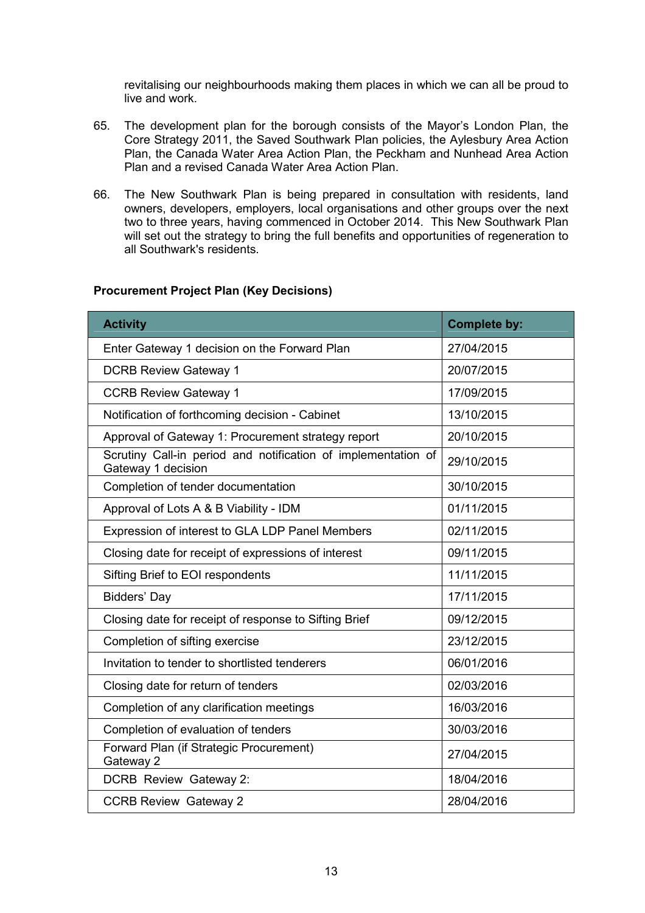revitalising our neighbourhoods making them places in which we can all be proud to live and work.

- 65. The development plan for the borough consists of the Mayor's London Plan, the Core Strategy 2011, the Saved Southwark Plan policies, the Aylesbury Area Action Plan, the Canada Water Area Action Plan, the Peckham and Nunhead Area Action Plan and a revised Canada Water Area Action Plan.
- 66. The New Southwark Plan is being prepared in consultation with residents, land owners, developers, employers, local organisations and other groups over the next two to three years, having commenced in October 2014. This New Southwark Plan will set out the strategy to bring the full benefits and opportunities of regeneration to all Southwark's residents.

| <b>Activity</b>                                                                     | <b>Complete by:</b> |
|-------------------------------------------------------------------------------------|---------------------|
| Enter Gateway 1 decision on the Forward Plan                                        | 27/04/2015          |
| <b>DCRB Review Gateway 1</b>                                                        | 20/07/2015          |
| <b>CCRB Review Gateway 1</b>                                                        | 17/09/2015          |
| Notification of forthcoming decision - Cabinet                                      | 13/10/2015          |
| Approval of Gateway 1: Procurement strategy report                                  | 20/10/2015          |
| Scrutiny Call-in period and notification of implementation of<br>Gateway 1 decision | 29/10/2015          |
| Completion of tender documentation                                                  | 30/10/2015          |
| Approval of Lots A & B Viability - IDM                                              | 01/11/2015          |
| Expression of interest to GLA LDP Panel Members                                     | 02/11/2015          |
| Closing date for receipt of expressions of interest                                 | 09/11/2015          |
| Sifting Brief to EOI respondents                                                    | 11/11/2015          |
| Bidders' Day                                                                        | 17/11/2015          |
| Closing date for receipt of response to Sifting Brief                               | 09/12/2015          |
| Completion of sifting exercise                                                      | 23/12/2015          |
| Invitation to tender to shortlisted tenderers                                       | 06/01/2016          |
| Closing date for return of tenders                                                  | 02/03/2016          |
| Completion of any clarification meetings                                            | 16/03/2016          |
| Completion of evaluation of tenders                                                 | 30/03/2016          |
| Forward Plan (if Strategic Procurement)<br>Gateway 2                                | 27/04/2015          |
| DCRB Review Gateway 2:                                                              | 18/04/2016          |
| <b>CCRB Review Gateway 2</b>                                                        | 28/04/2016          |

## **Procurement Project Plan (Key Decisions)**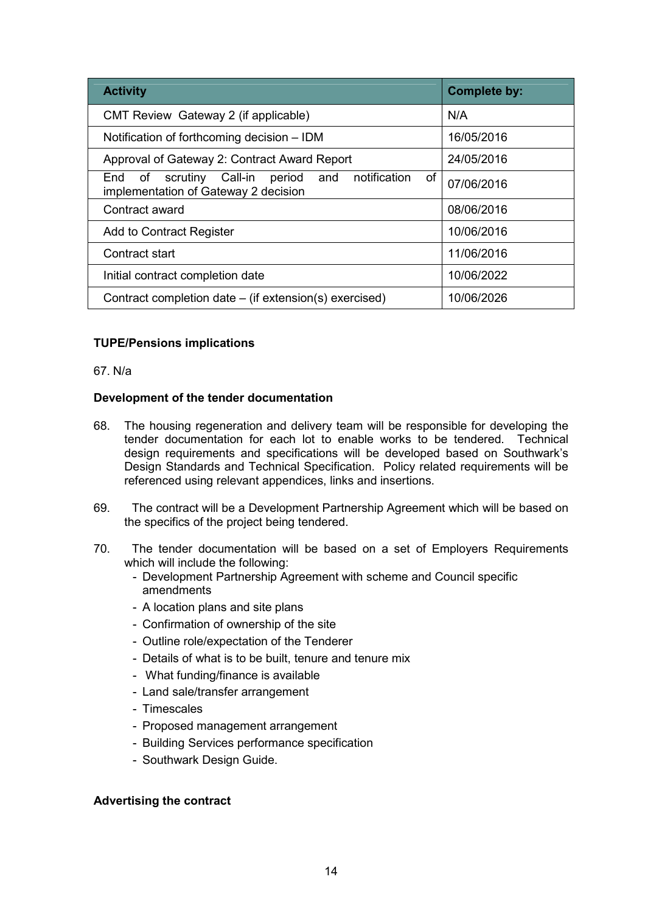| <b>Activity</b>                                                                                           | <b>Complete by:</b> |
|-----------------------------------------------------------------------------------------------------------|---------------------|
| CMT Review Gateway 2 (if applicable)                                                                      | N/A                 |
| Notification of forthcoming decision – IDM                                                                | 16/05/2016          |
| Approval of Gateway 2: Contract Award Report                                                              | 24/05/2016          |
| notification<br>оf<br>scrutiny Call-in<br>period<br>and<br>End of<br>implementation of Gateway 2 decision | 07/06/2016          |
| Contract award                                                                                            | 08/06/2016          |
| <b>Add to Contract Register</b>                                                                           | 10/06/2016          |
| Contract start                                                                                            | 11/06/2016          |
| Initial contract completion date                                                                          | 10/06/2022          |
| Contract completion date – (if extension(s) exercised)                                                    | 10/06/2026          |

## **TUPE/Pensions implications**

67. N/a

## **Development of the tender documentation**

- 68. The housing regeneration and delivery team will be responsible for developing the tender documentation for each lot to enable works to be tendered. Technical design requirements and specifications will be developed based on Southwark's Design Standards and Technical Specification. Policy related requirements will be referenced using relevant appendices, links and insertions.
- 69. The contract will be a Development Partnership Agreement which will be based on the specifics of the project being tendered.
- 70. The tender documentation will be based on a set of Employers Requirements which will include the following:
	- Development Partnership Agreement with scheme and Council specific amendments
	- A location plans and site plans
	- Confirmation of ownership of the site
	- Outline role/expectation of the Tenderer
	- Details of what is to be built, tenure and tenure mix
	- What funding/finance is available
	- Land sale/transfer arrangement
	- Timescales
	- Proposed management arrangement
	- Building Services performance specification
	- Southwark Design Guide.

## **Advertising the contract**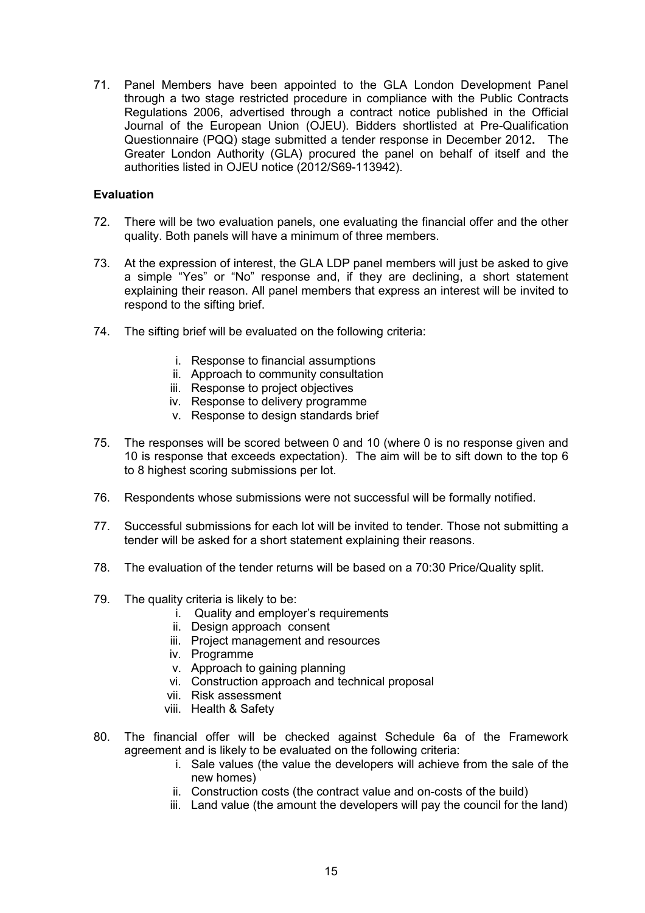71. Panel Members have been appointed to the GLA London Development Panel through a two stage restricted procedure in compliance with the Public Contracts Regulations 2006, advertised through a contract notice published in the Official Journal of the European Union (OJEU). Bidders shortlisted at Pre-Qualification Questionnaire (PQQ) stage submitted a tender response in December 2012**.** The Greater London Authority (GLA) procured the panel on behalf of itself and the authorities listed in OJEU notice (2012/S69-113942).

## **Evaluation**

- 72. There will be two evaluation panels, one evaluating the financial offer and the other quality. Both panels will have a minimum of three members.
- 73. At the expression of interest, the GLA LDP panel members will just be asked to give a simple "Yes" or "No" response and, if they are declining, a short statement explaining their reason. All panel members that express an interest will be invited to respond to the sifting brief.
- 74. The sifting brief will be evaluated on the following criteria:
	- i. Response to financial assumptions
	- ii. Approach to community consultation
	- iii. Response to project objectives
	- iv. Response to delivery programme
	- v. Response to design standards brief
- 75. The responses will be scored between 0 and 10 (where 0 is no response given and 10 is response that exceeds expectation). The aim will be to sift down to the top 6 to 8 highest scoring submissions per lot.
- 76. Respondents whose submissions were not successful will be formally notified.
- 77. Successful submissions for each lot will be invited to tender. Those not submitting a tender will be asked for a short statement explaining their reasons.
- 78. The evaluation of the tender returns will be based on a 70:30 Price/Quality split.
- 79. The quality criteria is likely to be:
	- i. Quality and employer's requirements
	- ii. Design approach consent
	- iii. Project management and resources
	- iv. Programme
	- v. Approach to gaining planning
	- vi. Construction approach and technical proposal
	- vii. Risk assessment
	- viii. Health & Safety
- 80. The financial offer will be checked against Schedule 6a of the Framework agreement and is likely to be evaluated on the following criteria:
	- i. Sale values (the value the developers will achieve from the sale of the new homes)
	- ii. Construction costs (the contract value and on-costs of the build)
	- iii. Land value (the amount the developers will pay the council for the land)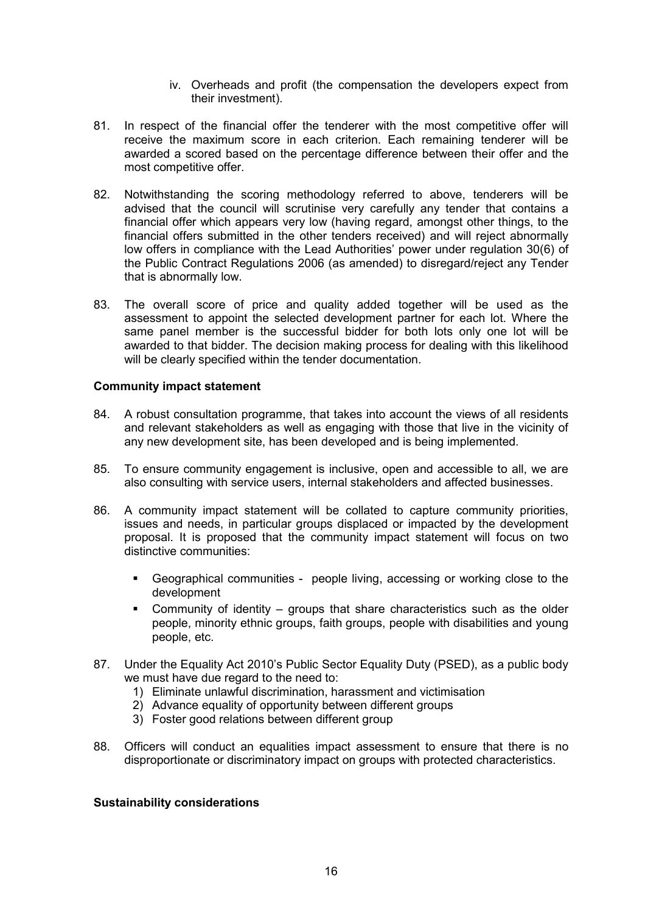- iv. Overheads and profit (the compensation the developers expect from their investment).
- 81. In respect of the financial offer the tenderer with the most competitive offer will receive the maximum score in each criterion. Each remaining tenderer will be awarded a scored based on the percentage difference between their offer and the most competitive offer.
- 82. Notwithstanding the scoring methodology referred to above, tenderers will be advised that the council will scrutinise very carefully any tender that contains a financial offer which appears very low (having regard, amongst other things, to the financial offers submitted in the other tenders received) and will reject abnormally low offers in compliance with the Lead Authorities' power under regulation 30(6) of the Public Contract Regulations 2006 (as amended) to disregard/reject any Tender that is abnormally low.
- 83. The overall score of price and quality added together will be used as the assessment to appoint the selected development partner for each lot. Where the same panel member is the successful bidder for both lots only one lot will be awarded to that bidder. The decision making process for dealing with this likelihood will be clearly specified within the tender documentation.

### **Community impact statement**

- 84. A robust consultation programme, that takes into account the views of all residents and relevant stakeholders as well as engaging with those that live in the vicinity of any new development site, has been developed and is being implemented.
- 85. To ensure community engagement is inclusive, open and accessible to all, we are also consulting with service users, internal stakeholders and affected businesses.
- 86. A community impact statement will be collated to capture community priorities, issues and needs, in particular groups displaced or impacted by the development proposal. It is proposed that the community impact statement will focus on two distinctive communities:
	- § Geographical communities people living, accessing or working close to the development
	- § Community of identity groups that share characteristics such as the older people, minority ethnic groups, faith groups, people with disabilities and young people, etc.
- 87. Under the Equality Act 2010's Public Sector Equality Duty (PSED), as a public body we must have due regard to the need to:
	- 1) Eliminate unlawful discrimination, harassment and victimisation
	- 2) Advance equality of opportunity between different groups
	- 3) Foster good relations between different group
- 88. Officers will conduct an equalities impact assessment to ensure that there is no disproportionate or discriminatory impact on groups with protected characteristics.

#### **Sustainability considerations**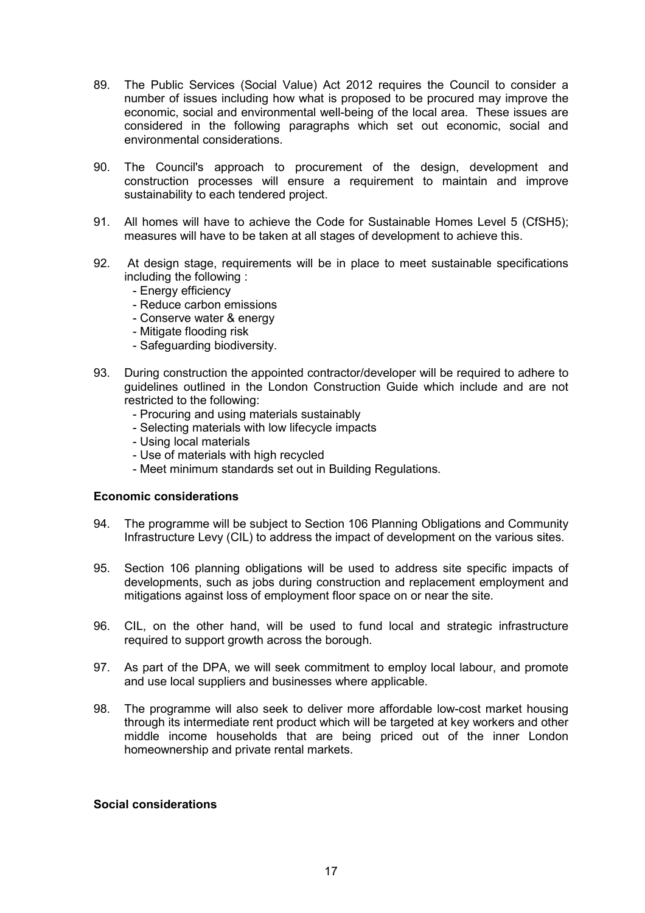- 89. The Public Services (Social Value) Act 2012 requires the Council to consider a number of issues including how what is proposed to be procured may improve the economic, social and environmental well-being of the local area. These issues are considered in the following paragraphs which set out economic, social and environmental considerations.
- 90. The Council's approach to procurement of the design, development and construction processes will ensure a requirement to maintain and improve sustainability to each tendered project.
- 91. All homes will have to achieve the Code for Sustainable Homes Level 5 (CfSH5); measures will have to be taken at all stages of development to achieve this.
- 92. At design stage, requirements will be in place to meet sustainable specifications including the following :
	- Energy efficiency
	- Reduce carbon emissions
	- Conserve water & energy
	- Mitigate flooding risk
	- Safeguarding biodiversity.
- 93. During construction the appointed contractor/developer will be required to adhere to guidelines outlined in the London Construction Guide which include and are not restricted to the following:
	- Procuring and using materials sustainably
	- Selecting materials with low lifecycle impacts
	- Using local materials
	- Use of materials with high recycled
	- Meet minimum standards set out in Building Regulations.

#### **Economic considerations**

- 94. The programme will be subject to Section 106 Planning Obligations and Community Infrastructure Levy (CIL) to address the impact of development on the various sites.
- 95. Section 106 planning obligations will be used to address site specific impacts of developments, such as jobs during construction and replacement employment and mitigations against loss of employment floor space on or near the site.
- 96. CIL, on the other hand, will be used to fund local and strategic infrastructure required to support growth across the borough.
- 97. As part of the DPA, we will seek commitment to employ local labour, and promote and use local suppliers and businesses where applicable.
- 98. The programme will also seek to deliver more affordable low-cost market housing through its intermediate rent product which will be targeted at key workers and other middle income households that are being priced out of the inner London homeownership and private rental markets.

### **Social considerations**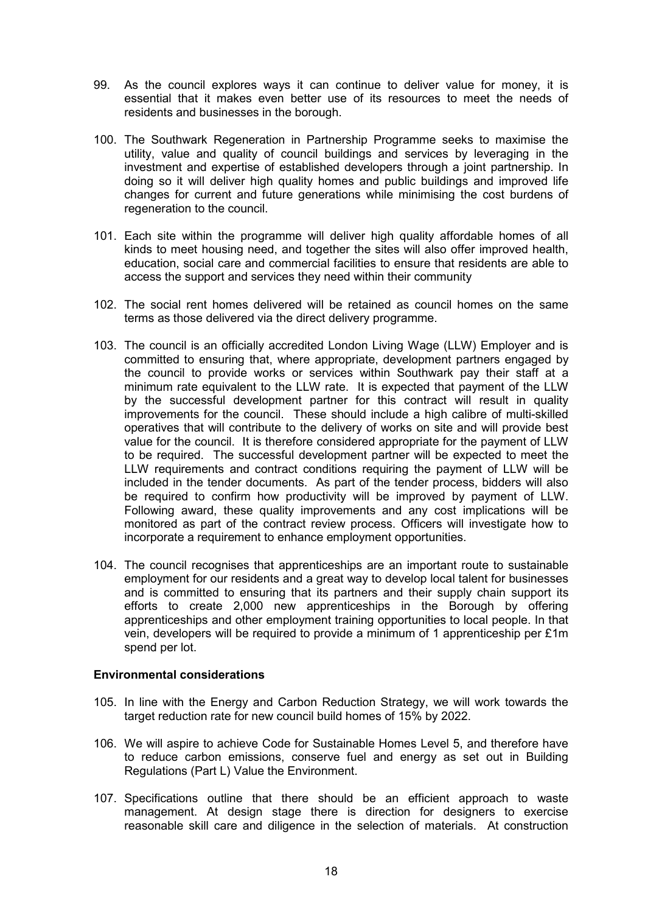- 99. As the council explores ways it can continue to deliver value for money, it is essential that it makes even better use of its resources to meet the needs of residents and businesses in the borough.
- 100. The Southwark Regeneration in Partnership Programme seeks to maximise the utility, value and quality of council buildings and services by leveraging in the investment and expertise of established developers through a joint partnership. In doing so it will deliver high quality homes and public buildings and improved life changes for current and future generations while minimising the cost burdens of regeneration to the council.
- 101. Each site within the programme will deliver high quality affordable homes of all kinds to meet housing need, and together the sites will also offer improved health, education, social care and commercial facilities to ensure that residents are able to access the support and services they need within their community
- 102. The social rent homes delivered will be retained as council homes on the same terms as those delivered via the direct delivery programme.
- 103. The council is an officially accredited London Living Wage (LLW) Employer and is committed to ensuring that, where appropriate, development partners engaged by the council to provide works or services within Southwark pay their staff at a minimum rate equivalent to the LLW rate. It is expected that payment of the LLW by the successful development partner for this contract will result in quality improvements for the council. These should include a high calibre of multi-skilled operatives that will contribute to the delivery of works on site and will provide best value for the council. It is therefore considered appropriate for the payment of LLW to be required. The successful development partner will be expected to meet the LLW requirements and contract conditions requiring the payment of LLW will be included in the tender documents. As part of the tender process, bidders will also be required to confirm how productivity will be improved by payment of LLW. Following award, these quality improvements and any cost implications will be monitored as part of the contract review process. Officers will investigate how to incorporate a requirement to enhance employment opportunities.
- 104. The council recognises that apprenticeships are an important route to sustainable employment for our residents and a great way to develop local talent for businesses and is committed to ensuring that its partners and their supply chain support its efforts to create 2,000 new apprenticeships in the Borough by offering apprenticeships and other employment training opportunities to local people. In that vein, developers will be required to provide a minimum of 1 apprenticeship per £1m spend per lot.

#### **Environmental considerations**

- 105. In line with the Energy and Carbon Reduction Strategy, we will work towards the target reduction rate for new council build homes of 15% by 2022.
- 106. We will aspire to achieve Code for Sustainable Homes Level 5, and therefore have to reduce carbon emissions, conserve fuel and energy as set out in Building Regulations (Part L) Value the Environment.
- 107. Specifications outline that there should be an efficient approach to waste management. At design stage there is direction for designers to exercise reasonable skill care and diligence in the selection of materials. At construction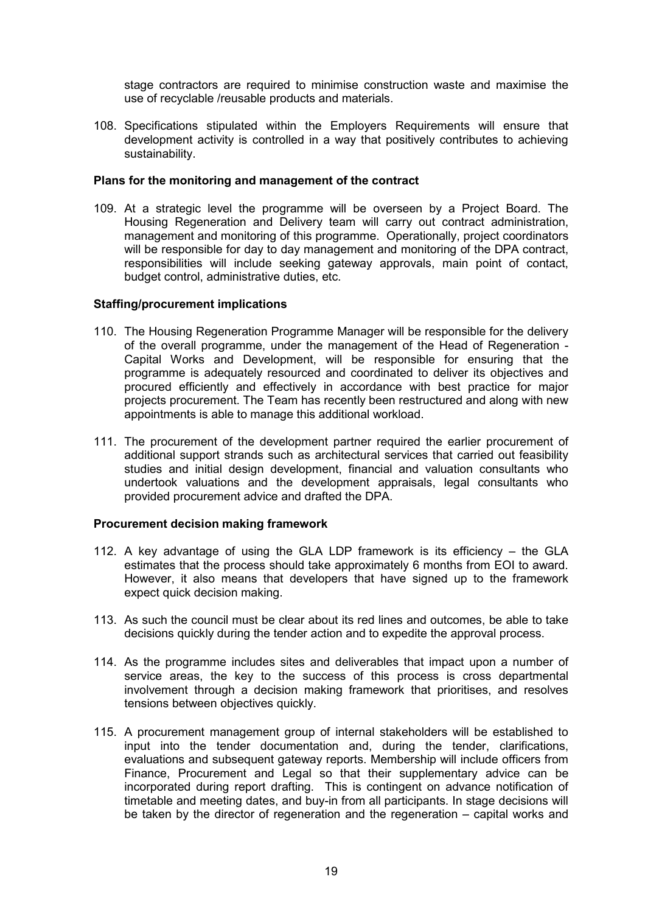stage contractors are required to minimise construction waste and maximise the use of recyclable /reusable products and materials.

108. Specifications stipulated within the Employers Requirements will ensure that development activity is controlled in a way that positively contributes to achieving sustainability.

### **Plans for the monitoring and management of the contract**

109. At a strategic level the programme will be overseen by a Project Board. The Housing Regeneration and Delivery team will carry out contract administration, management and monitoring of this programme. Operationally, project coordinators will be responsible for day to day management and monitoring of the DPA contract, responsibilities will include seeking gateway approvals, main point of contact, budget control, administrative duties, etc.

### **Staffing/procurement implications**

- 110. The Housing Regeneration Programme Manager will be responsible for the delivery of the overall programme, under the management of the Head of Regeneration - Capital Works and Development, will be responsible for ensuring that the programme is adequately resourced and coordinated to deliver its objectives and procured efficiently and effectively in accordance with best practice for major projects procurement. The Team has recently been restructured and along with new appointments is able to manage this additional workload.
- 111. The procurement of the development partner required the earlier procurement of additional support strands such as architectural services that carried out feasibility studies and initial design development, financial and valuation consultants who undertook valuations and the development appraisals, legal consultants who provided procurement advice and drafted the DPA.

## **Procurement decision making framework**

- 112. A key advantage of using the GLA LDP framework is its efficiency the GLA estimates that the process should take approximately 6 months from EOI to award. However, it also means that developers that have signed up to the framework expect quick decision making.
- 113. As such the council must be clear about its red lines and outcomes, be able to take decisions quickly during the tender action and to expedite the approval process.
- 114. As the programme includes sites and deliverables that impact upon a number of service areas, the key to the success of this process is cross departmental involvement through a decision making framework that prioritises, and resolves tensions between objectives quickly.
- 115. A procurement management group of internal stakeholders will be established to input into the tender documentation and, during the tender, clarifications, evaluations and subsequent gateway reports. Membership will include officers from Finance, Procurement and Legal so that their supplementary advice can be incorporated during report drafting. This is contingent on advance notification of timetable and meeting dates, and buy-in from all participants. In stage decisions will be taken by the director of regeneration and the regeneration – capital works and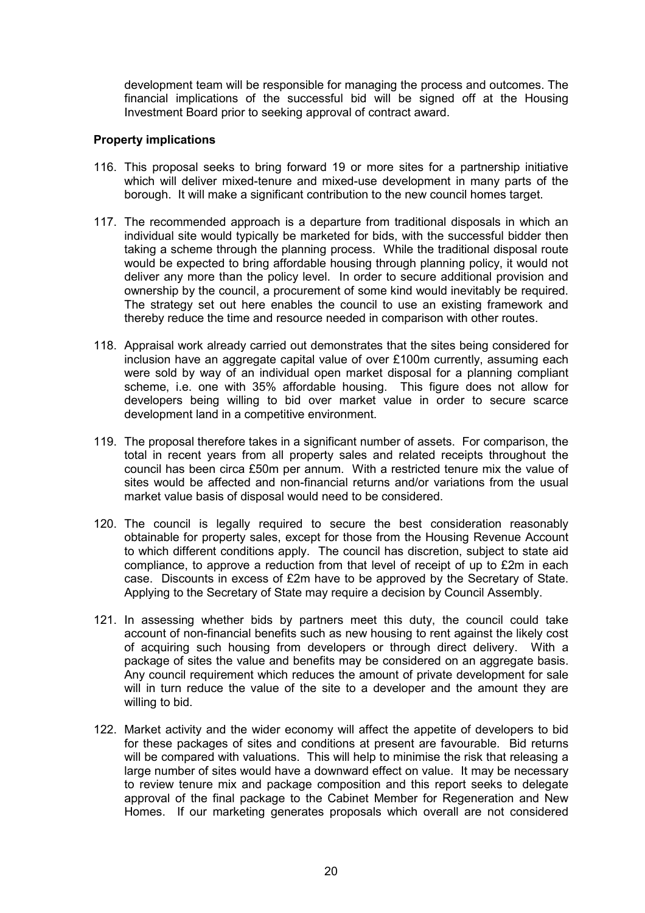development team will be responsible for managing the process and outcomes. The financial implications of the successful bid will be signed off at the Housing Investment Board prior to seeking approval of contract award.

### **Property implications**

- 116. This proposal seeks to bring forward 19 or more sites for a partnership initiative which will deliver mixed-tenure and mixed-use development in many parts of the borough. It will make a significant contribution to the new council homes target.
- 117. The recommended approach is a departure from traditional disposals in which an individual site would typically be marketed for bids, with the successful bidder then taking a scheme through the planning process. While the traditional disposal route would be expected to bring affordable housing through planning policy, it would not deliver any more than the policy level. In order to secure additional provision and ownership by the council, a procurement of some kind would inevitably be required. The strategy set out here enables the council to use an existing framework and thereby reduce the time and resource needed in comparison with other routes.
- 118. Appraisal work already carried out demonstrates that the sites being considered for inclusion have an aggregate capital value of over £100m currently, assuming each were sold by way of an individual open market disposal for a planning compliant scheme, i.e. one with 35% affordable housing. This figure does not allow for developers being willing to bid over market value in order to secure scarce development land in a competitive environment.
- 119. The proposal therefore takes in a significant number of assets. For comparison, the total in recent years from all property sales and related receipts throughout the council has been circa £50m per annum. With a restricted tenure mix the value of sites would be affected and non-financial returns and/or variations from the usual market value basis of disposal would need to be considered.
- 120. The council is legally required to secure the best consideration reasonably obtainable for property sales, except for those from the Housing Revenue Account to which different conditions apply. The council has discretion, subject to state aid compliance, to approve a reduction from that level of receipt of up to £2m in each case. Discounts in excess of £2m have to be approved by the Secretary of State. Applying to the Secretary of State may require a decision by Council Assembly.
- 121. In assessing whether bids by partners meet this duty, the council could take account of non-financial benefits such as new housing to rent against the likely cost of acquiring such housing from developers or through direct delivery. With a package of sites the value and benefits may be considered on an aggregate basis. Any council requirement which reduces the amount of private development for sale will in turn reduce the value of the site to a developer and the amount they are willing to bid.
- 122. Market activity and the wider economy will affect the appetite of developers to bid for these packages of sites and conditions at present are favourable. Bid returns will be compared with valuations. This will help to minimise the risk that releasing a large number of sites would have a downward effect on value. It may be necessary to review tenure mix and package composition and this report seeks to delegate approval of the final package to the Cabinet Member for Regeneration and New Homes. If our marketing generates proposals which overall are not considered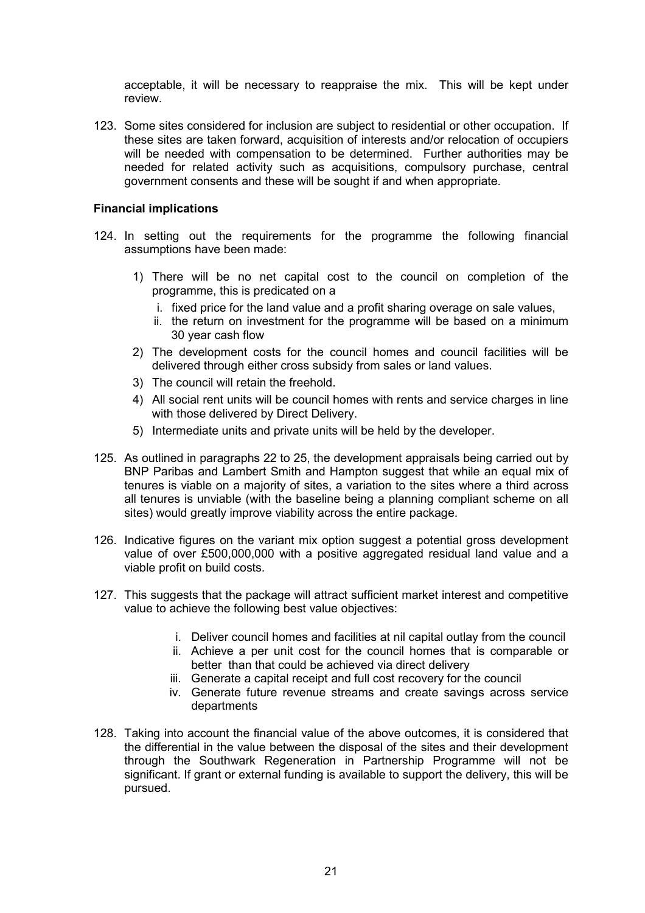acceptable, it will be necessary to reappraise the mix. This will be kept under review.

123. Some sites considered for inclusion are subject to residential or other occupation. If these sites are taken forward, acquisition of interests and/or relocation of occupiers will be needed with compensation to be determined. Further authorities may be needed for related activity such as acquisitions, compulsory purchase, central government consents and these will be sought if and when appropriate.

### **Financial implications**

- 124. In setting out the requirements for the programme the following financial assumptions have been made:
	- 1) There will be no net capital cost to the council on completion of the programme, this is predicated on a
		- i. fixed price for the land value and a profit sharing overage on sale values,
		- ii. the return on investment for the programme will be based on a minimum 30 year cash flow
	- 2) The development costs for the council homes and council facilities will be delivered through either cross subsidy from sales or land values.
	- 3) The council will retain the freehold.
	- 4) All social rent units will be council homes with rents and service charges in line with those delivered by Direct Delivery.
	- 5) Intermediate units and private units will be held by the developer.
- 125. As outlined in paragraphs 22 to 25, the development appraisals being carried out by BNP Paribas and Lambert Smith and Hampton suggest that while an equal mix of tenures is viable on a majority of sites, a variation to the sites where a third across all tenures is unviable (with the baseline being a planning compliant scheme on all sites) would greatly improve viability across the entire package.
- 126. Indicative figures on the variant mix option suggest a potential gross development value of over £500,000,000 with a positive aggregated residual land value and a viable profit on build costs.
- 127. This suggests that the package will attract sufficient market interest and competitive value to achieve the following best value objectives:
	- i. Deliver council homes and facilities at nil capital outlay from the council
	- ii. Achieve a per unit cost for the council homes that is comparable or better than that could be achieved via direct delivery
	- iii. Generate a capital receipt and full cost recovery for the council
	- iv. Generate future revenue streams and create savings across service departments
- 128. Taking into account the financial value of the above outcomes, it is considered that the differential in the value between the disposal of the sites and their development through the Southwark Regeneration in Partnership Programme will not be significant. If grant or external funding is available to support the delivery, this will be pursued.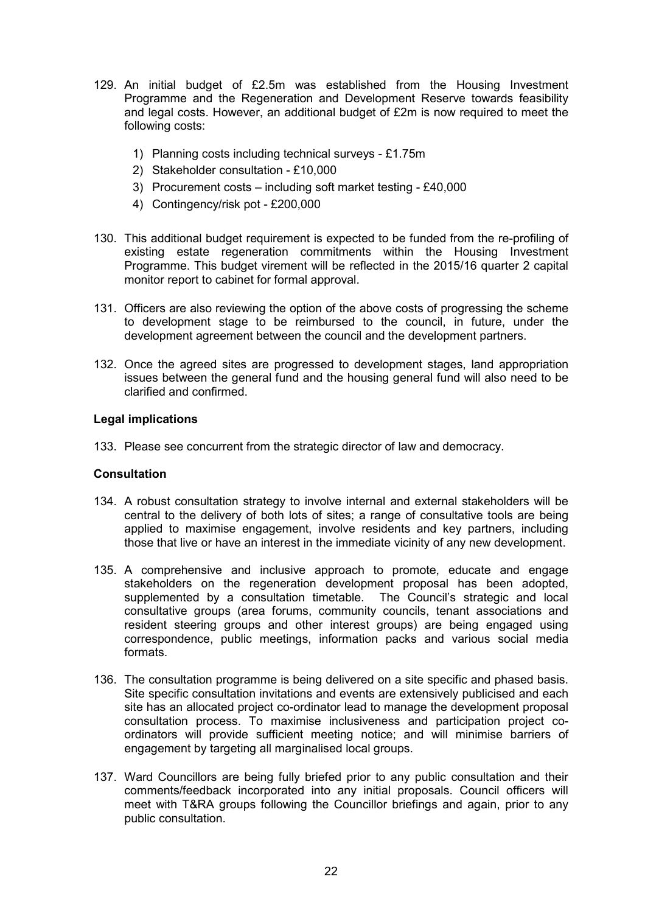- 129. An initial budget of £2.5m was established from the Housing Investment Programme and the Regeneration and Development Reserve towards feasibility and legal costs. However, an additional budget of £2m is now required to meet the following costs:
	- 1) Planning costs including technical surveys £1.75m
	- 2) Stakeholder consultation £10,000
	- 3) Procurement costs including soft market testing £40,000
	- 4) Contingency/risk pot £200,000
- 130. This additional budget requirement is expected to be funded from the re-profiling of existing estate regeneration commitments within the Housing Investment Programme. This budget virement will be reflected in the 2015/16 quarter 2 capital monitor report to cabinet for formal approval.
- 131. Officers are also reviewing the option of the above costs of progressing the scheme to development stage to be reimbursed to the council, in future, under the development agreement between the council and the development partners.
- 132. Once the agreed sites are progressed to development stages, land appropriation issues between the general fund and the housing general fund will also need to be clarified and confirmed.

### **Legal implications**

133. Please see concurrent from the strategic director of law and democracy.

## **Consultation**

- 134. A robust consultation strategy to involve internal and external stakeholders will be central to the delivery of both lots of sites; a range of consultative tools are being applied to maximise engagement, involve residents and key partners, including those that live or have an interest in the immediate vicinity of any new development.
- 135. A comprehensive and inclusive approach to promote, educate and engage stakeholders on the regeneration development proposal has been adopted, supplemented by a consultation timetable. The Council's strategic and local consultative groups (area forums, community councils, tenant associations and resident steering groups and other interest groups) are being engaged using correspondence, public meetings, information packs and various social media formats.
- 136. The consultation programme is being delivered on a site specific and phased basis. Site specific consultation invitations and events are extensively publicised and each site has an allocated project co-ordinator lead to manage the development proposal consultation process. To maximise inclusiveness and participation project coordinators will provide sufficient meeting notice; and will minimise barriers of engagement by targeting all marginalised local groups.
- 137. Ward Councillors are being fully briefed prior to any public consultation and their comments/feedback incorporated into any initial proposals. Council officers will meet with T&RA groups following the Councillor briefings and again, prior to any public consultation.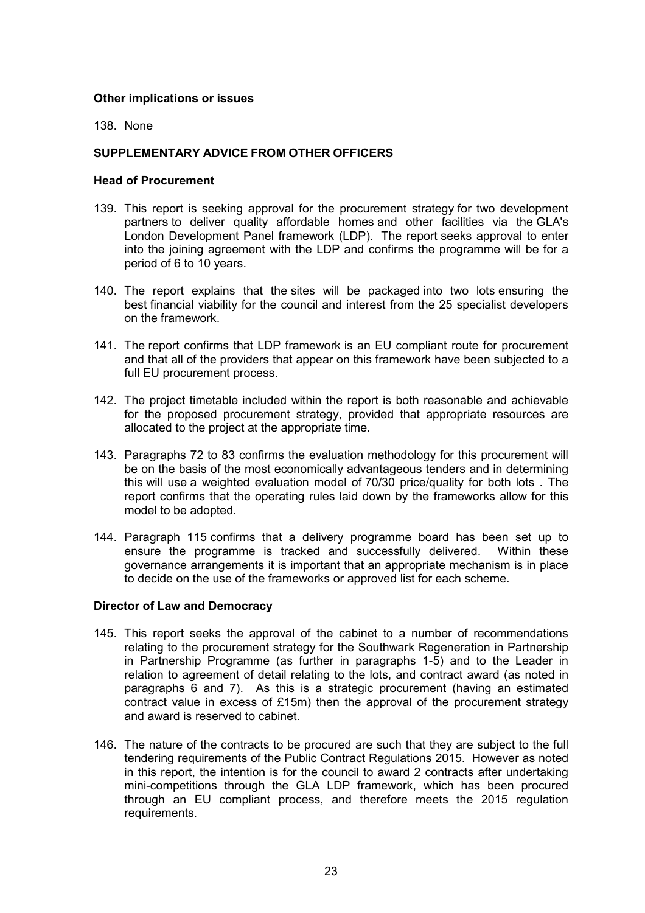### **Other implications or issues**

138. None

## **SUPPLEMENTARY ADVICE FROM OTHER OFFICERS**

### **Head of Procurement**

- 139. This report is seeking approval for the procurement strategy for two development partners to deliver quality affordable homes and other facilities via the GLA's London Development Panel framework (LDP). The report seeks approval to enter into the joining agreement with the LDP and confirms the programme will be for a period of 6 to 10 years.
- 140. The report explains that the sites will be packaged into two lots ensuring the best financial viability for the council and interest from the 25 specialist developers on the framework.
- 141. The report confirms that LDP framework is an EU compliant route for procurement and that all of the providers that appear on this framework have been subjected to a full EU procurement process.
- 142. The project timetable included within the report is both reasonable and achievable for the proposed procurement strategy, provided that appropriate resources are allocated to the project at the appropriate time.
- 143. Paragraphs 72 to 83 confirms the evaluation methodology for this procurement will be on the basis of the most economically advantageous tenders and in determining this will use a weighted evaluation model of 70/30 price/quality for both lots . The report confirms that the operating rules laid down by the frameworks allow for this model to be adopted.
- 144. Paragraph 115 confirms that a delivery programme board has been set up to ensure the programme is tracked and successfully delivered. Within these governance arrangements it is important that an appropriate mechanism is in place to decide on the use of the frameworks or approved list for each scheme.

## **Director of Law and Democracy**

- 145. This report seeks the approval of the cabinet to a number of recommendations relating to the procurement strategy for the Southwark Regeneration in Partnership in Partnership Programme (as further in paragraphs 1-5) and to the Leader in relation to agreement of detail relating to the lots, and contract award (as noted in paragraphs 6 and 7). As this is a strategic procurement (having an estimated contract value in excess of £15m) then the approval of the procurement strategy and award is reserved to cabinet.
- 146. The nature of the contracts to be procured are such that they are subject to the full tendering requirements of the Public Contract Regulations 2015. However as noted in this report, the intention is for the council to award 2 contracts after undertaking mini-competitions through the GLA LDP framework, which has been procured through an EU compliant process, and therefore meets the 2015 regulation requirements.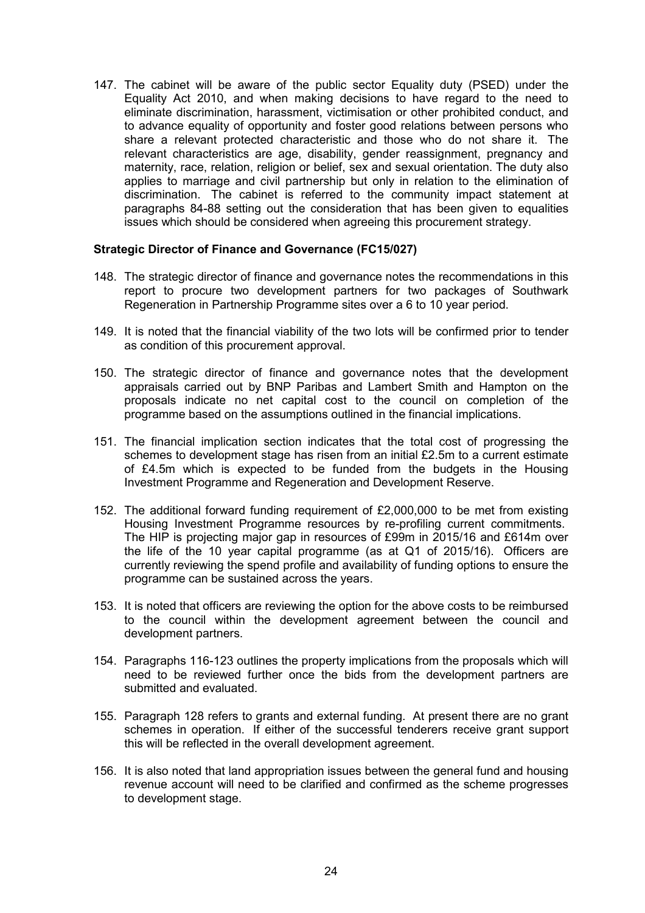147. The cabinet will be aware of the public sector Equality duty (PSED) under the Equality Act 2010, and when making decisions to have regard to the need to eliminate discrimination, harassment, victimisation or other prohibited conduct, and to advance equality of opportunity and foster good relations between persons who share a relevant protected characteristic and those who do not share it. The relevant characteristics are age, disability, gender reassignment, pregnancy and maternity, race, relation, religion or belief, sex and sexual orientation. The duty also applies to marriage and civil partnership but only in relation to the elimination of discrimination. The cabinet is referred to the community impact statement at paragraphs 84-88 setting out the consideration that has been given to equalities issues which should be considered when agreeing this procurement strategy.

### **Strategic Director of Finance and Governance (FC15/027)**

- 148. The strategic director of finance and governance notes the recommendations in this report to procure two development partners for two packages of Southwark Regeneration in Partnership Programme sites over a 6 to 10 year period.
- 149. It is noted that the financial viability of the two lots will be confirmed prior to tender as condition of this procurement approval.
- 150. The strategic director of finance and governance notes that the development appraisals carried out by BNP Paribas and Lambert Smith and Hampton on the proposals indicate no net capital cost to the council on completion of the programme based on the assumptions outlined in the financial implications.
- 151. The financial implication section indicates that the total cost of progressing the schemes to development stage has risen from an initial £2.5m to a current estimate of £4.5m which is expected to be funded from the budgets in the Housing Investment Programme and Regeneration and Development Reserve.
- 152. The additional forward funding requirement of £2,000,000 to be met from existing Housing Investment Programme resources by re-profiling current commitments. The HIP is projecting major gap in resources of £99m in 2015/16 and £614m over the life of the 10 year capital programme (as at Q1 of 2015/16). Officers are currently reviewing the spend profile and availability of funding options to ensure the programme can be sustained across the years.
- 153. It is noted that officers are reviewing the option for the above costs to be reimbursed to the council within the development agreement between the council and development partners.
- 154. Paragraphs 116-123 outlines the property implications from the proposals which will need to be reviewed further once the bids from the development partners are submitted and evaluated.
- 155. Paragraph 128 refers to grants and external funding. At present there are no grant schemes in operation. If either of the successful tenderers receive grant support this will be reflected in the overall development agreement.
- 156. It is also noted that land appropriation issues between the general fund and housing revenue account will need to be clarified and confirmed as the scheme progresses to development stage.